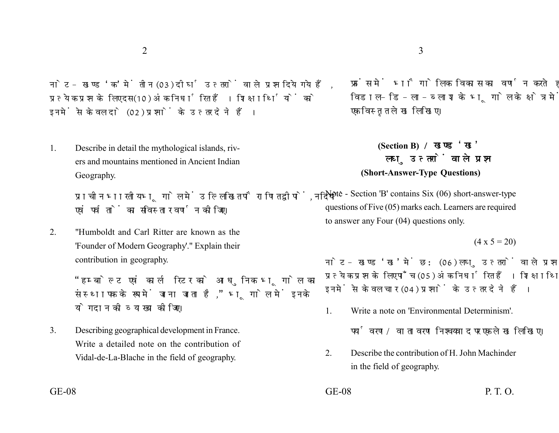नोट- खण्ड 'क' में तीन (03) दीर्घ उत्तरों वाले प्रश्न दिये गये हैं. प्रत्येक प्रश्न के लिए दस (10) अंक निर्धारित हैं। शिक्षार्थियों को इनमें से केवल दो (02) प्रश्नों के उत्तर देने हैं।

1. Describe in detail the mythological islands, rivers and mountains mentioned in Ancient Indian Geography.

> प्राचीन भारतीय भूगोल में उल्लिखित पौराणित द्वीपों, नदियों एवं पर्वतों का सविस्तार वर्णन कोजिए।

2. "Humboldt and Carl Ritter are known as the 'Founder of Modern Geography'." Explain their contribution in geography.

> ''हम्बोल्ट एवं कार्ल रिटर को आधुनिक भगोल का संस्थापक के रूप में जाना जाता है," भूगोल में इनके योगदान की व्याख्या कोजिए।

3. Describing geographical development in France. Write a detailed note on the contribution of Vidal-de-La-Blache in the field of geography.

फ्रांस में भौगोलिक विकास का वर्णन करते हुए विडाल-डि-ला-ब्लाश के भूगोल के क्षेत्र में योगदान पर एक विस्तृत लेख लिखिए।

## **(Section B)**  लघु उत्तरों वाले प्रश्न **(Short-Answer-Type Questions)**

Note - Section 'B' contains Six (06) short-answer-type questions of Five (05) marks each. Learners are required to answer any Four (04) questions only.

```
(4 \times 5 = 20)
```
नोट- खण्ड 'ख' में छ: (06) लघु उत्तरों वाले प्रश्न दिये गये हैं, प्रत्येक प्रश्न के लिए पाँच (05) अंक निर्धारित हैं। शिक्षार्थियों को इनमें से केवल चार (04) प्रश्नों के उत्तर देने हैं।

1. Write a note on 'Environmental Determinism'.

पर्यावरण/वातावरण निश्चयवाद पर एक लेख लिखिए।

- 2. Describe the contribution of H. John Machinder in the field of geography.
- $GE-08$  P. T. O.